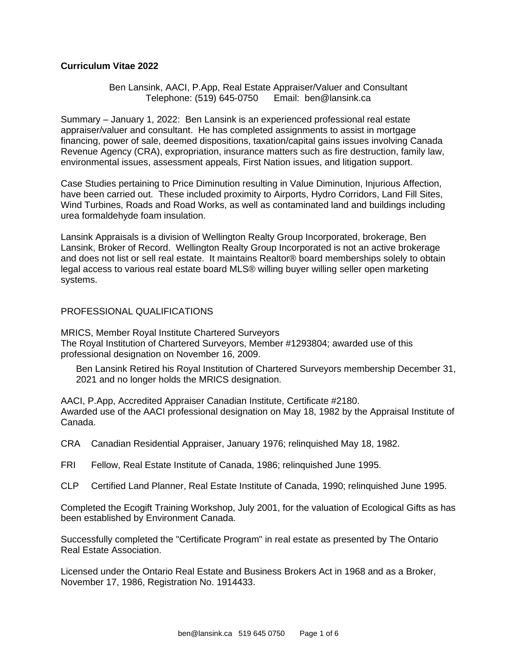## **Curriculum Vitae 2022**

### Ben Lansink, AACI, P.App, Real Estate Appraiser/Valuer and Consultant Telephone: (519) 645-0750 Email: ben@lansink.ca

Summary – January 1, 2022: Ben Lansink is an experienced professional real estate appraiser/valuer and consultant. He has completed assignments to assist in mortgage financing, power of sale, deemed dispositions, taxation/capital gains issues involving Canada Revenue Agency (CRA), expropriation, insurance matters such as fire destruction, family law, environmental issues, assessment appeals, First Nation issues, and litigation support.

Case Studies pertaining to Price Diminution resulting in Value Diminution, Injurious Affection, have been carried out. These included proximity to Airports, Hydro Corridors, Land Fill Sites, Wind Turbines, Roads and Road Works, as well as contaminated land and buildings including urea formaldehyde foam insulation.

Lansink Appraisals is a division of Wellington Realty Group Incorporated, brokerage, Ben Lansink, Broker of Record. Wellington Realty Group Incorporated is not an active brokerage and does not list or sell real estate. It maintains Realtor® board memberships solely to obtain legal access to various real estate board MLS® willing buyer willing seller open marketing systems.

#### PROFESSIONAL QUALIFICATIONS

MRICS, Member Royal Institute Chartered Surveyors The Royal Institution of Chartered Surveyors, Member #1293804; awarded use of this professional designation on November 16, 2009.

Ben Lansink Retired his Royal Institution of Chartered Surveyors membership December 31, 2021 and no longer holds the MRICS designation.

AACI, P.App, Accredited Appraiser Canadian Institute, Certificate #2180. Awarded use of the AACI professional designation on May 18, 1982 by the Appraisal Institute of Canada.

CRA Canadian Residential Appraiser, January 1976; relinquished May 18, 1982.

- FRI Fellow, Real Estate Institute of Canada, 1986; relinquished June 1995.
- CLP Certified Land Planner, Real Estate Institute of Canada, 1990; relinquished June 1995.

Completed the Ecogift Training Workshop, July 2001, for the valuation of Ecological Gifts as has been established by Environment Canada.

Successfully completed the "Certificate Program" in real estate as presented by The Ontario Real Estate Association.

Licensed under the Ontario Real Estate and Business Brokers Act in 1968 and as a Broker, November 17, 1986, Registration No. 1914433.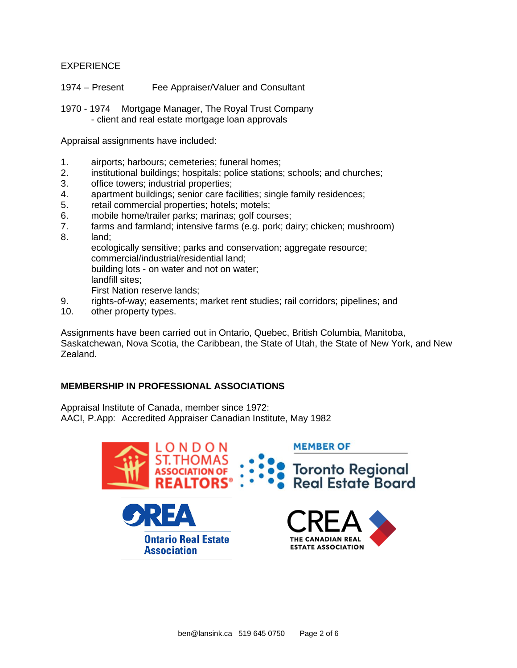## EXPERIENCE

- 1974 Present Fee Appraiser/Valuer and Consultant
- 1970 1974 Mortgage Manager, The Royal Trust Company - client and real estate mortgage loan approvals

Appraisal assignments have included:

- 1. airports; harbours; cemeteries; funeral homes;
- 2. institutional buildings; hospitals; police stations; schools; and churches;
- 3. office towers; industrial properties;
- 4. apartment buildings; senior care facilities; single family residences;
- 5. retail commercial properties; hotels; motels;
- 6. mobile home/trailer parks; marinas; golf courses;
- 7. farms and farmland; intensive farms (e.g. pork; dairy; chicken; mushroom)
- 8. land;

ecologically sensitive; parks and conservation; aggregate resource; commercial/industrial/residential land; building lots - on water and not on water;

landfill sites;

First Nation reserve lands;

- 9. rights-of-way; easements; market rent studies; rail corridors; pipelines; and
- 10. other property types.

Assignments have been carried out in Ontario, Quebec, British Columbia, Manitoba, Saskatchewan, Nova Scotia, the Caribbean, the State of Utah, the State of New York, and New Zealand.

# **MEMBERSHIP IN PROFESSIONAL ASSOCIATIONS**

Appraisal Institute of Canada, member since 1972: AACI, P.App: Accredited Appraiser Canadian Institute, May 1982

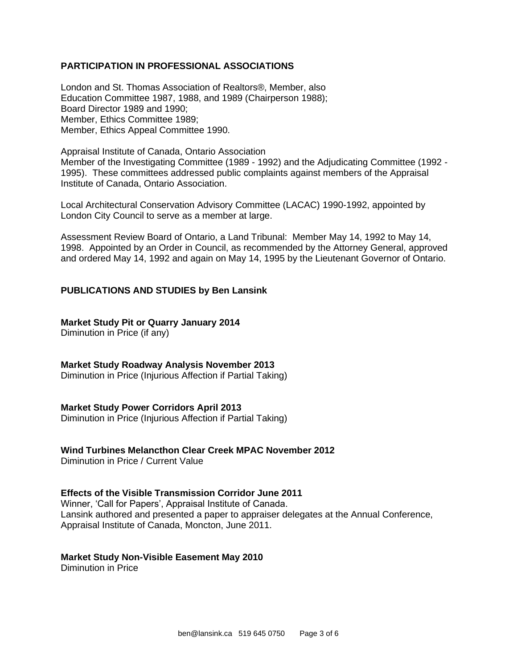### **PARTICIPATION IN PROFESSIONAL ASSOCIATIONS**

London and St. Thomas Association of Realtors®, Member, also Education Committee 1987, 1988, and 1989 (Chairperson 1988); Board Director 1989 and 1990; Member, Ethics Committee 1989; Member, Ethics Appeal Committee 1990.

Appraisal Institute of Canada, Ontario Association Member of the Investigating Committee (1989 - 1992) and the Adjudicating Committee (1992 - 1995). These committees addressed public complaints against members of the Appraisal Institute of Canada, Ontario Association.

Local Architectural Conservation Advisory Committee (LACAC) 1990-1992, appointed by London City Council to serve as a member at large.

Assessment Review Board of Ontario, a Land Tribunal: Member May 14, 1992 to May 14, 1998. Appointed by an Order in Council, as recommended by the Attorney General, approved and ordered May 14, 1992 and again on May 14, 1995 by the Lieutenant Governor of Ontario.

### **PUBLICATIONS AND STUDIES by Ben Lansink**

### **Market Study Pit or Quarry January 2014**

Diminution in Price (if any)

#### **Market Study Roadway Analysis November 2013**

Diminution in Price (Injurious Affection if Partial Taking)

#### **Market Study Power Corridors April 2013**

Diminution in Price (Injurious Affection if Partial Taking)

#### **Wind Turbines Melancthon Clear Creek MPAC November 2012**

Diminution in Price / Current Value

#### **Effects of the Visible Transmission Corridor June 2011**

Winner, 'Call for Papers', Appraisal Institute of Canada. Lansink authored and presented a paper to appraiser delegates at the Annual Conference, Appraisal Institute of Canada, Moncton, June 2011.

#### **Market Study Non-Visible Easement May 2010**

Diminution in Price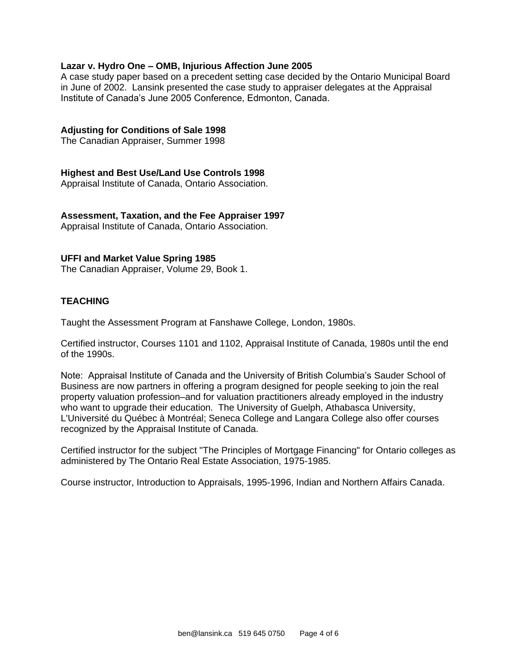### **Lazar v. Hydro One – OMB, Injurious Affection June 2005**

A case study paper based on a precedent setting case decided by the Ontario Municipal Board in June of 2002. Lansink presented the case study to appraiser delegates at the Appraisal Institute of Canada's June 2005 Conference, Edmonton, Canada.

## **Adjusting for Conditions of Sale 1998**

The Canadian Appraiser, Summer 1998

### **Highest and Best Use/Land Use Controls 1998**

Appraisal Institute of Canada, Ontario Association.

## **Assessment, Taxation, and the Fee Appraiser 1997**

Appraisal Institute of Canada, Ontario Association.

### **UFFI and Market Value Spring 1985**

The Canadian Appraiser, Volume 29, Book 1.

## **TEACHING**

Taught the Assessment Program at Fanshawe College, London, 1980s.

Certified instructor, Courses 1101 and 1102, Appraisal Institute of Canada, 1980s until the end of the 1990s.

Note: Appraisal Institute of Canada and the University of British Columbia's Sauder School of Business are now partners in offering a program designed for people seeking to join the real property valuation profession–and for valuation practitioners already employed in the industry who want to upgrade their education. The University of Guelph, Athabasca University, L'Université du Québec à Montréal; Seneca College and Langara College also offer courses recognized by the Appraisal Institute of Canada.

Certified instructor for the subject "The Principles of Mortgage Financing" for Ontario colleges as administered by The Ontario Real Estate Association, 1975-1985.

Course instructor, Introduction to Appraisals, 1995-1996, Indian and Northern Affairs Canada.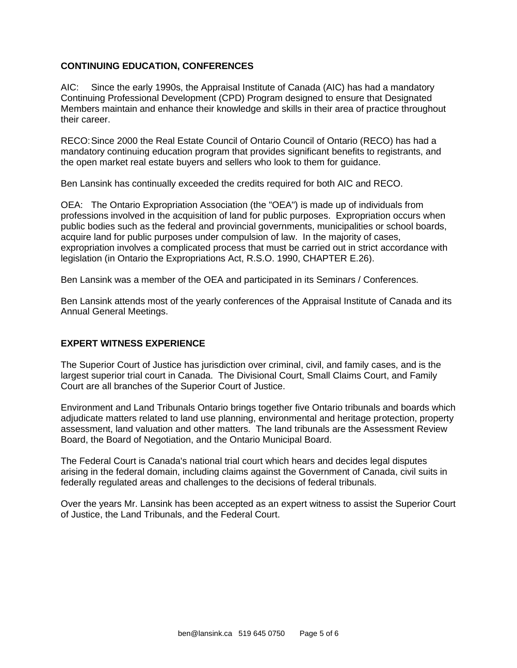## **CONTINUING EDUCATION, CONFERENCES**

AIC: Since the early 1990s, the Appraisal Institute of Canada (AIC) has had a mandatory Continuing Professional Development (CPD) Program designed to ensure that Designated Members maintain and enhance their knowledge and skills in their area of practice throughout their career.

RECO:Since 2000 the Real Estate Council of Ontario Council of Ontario (RECO) has had a mandatory continuing education program that provides significant benefits to registrants, and the open market real estate buyers and sellers who look to them for guidance.

Ben Lansink has continually exceeded the credits required for both AIC and RECO.

OEA: The Ontario Expropriation Association (the "OEA") is made up of individuals from professions involved in the acquisition of land for public purposes. Expropriation occurs when public bodies such as the federal and provincial governments, municipalities or school boards, acquire land for public purposes under compulsion of law. In the majority of cases, expropriation involves a complicated process that must be carried out in strict accordance with legislation (in Ontario the Expropriations Act, R.S.O. 1990, CHAPTER E.26).

Ben Lansink was a member of the OEA and participated in its Seminars / Conferences.

Ben Lansink attends most of the yearly conferences of the Appraisal Institute of Canada and its Annual General Meetings.

## **EXPERT WITNESS EXPERIENCE**

The Superior Court of Justice has jurisdiction over criminal, civil, and family cases, and is the largest superior trial court in Canada. The Divisional Court, Small Claims Court, and Family Court are all branches of the Superior Court of Justice.

Environment and Land Tribunals Ontario brings together five Ontario tribunals and boards which adjudicate matters related to land use planning, environmental and heritage protection, property assessment, land valuation and other matters. The land tribunals are the Assessment Review Board, the Board of Negotiation, and the Ontario Municipal Board.

The Federal Court is Canada's national trial court which hears and decides legal disputes arising in the federal domain, including claims against the Government of Canada, civil suits in federally regulated areas and challenges to the decisions of federal tribunals.

Over the years Mr. Lansink has been accepted as an expert witness to assist the Superior Court of Justice, the Land Tribunals, and the Federal Court.